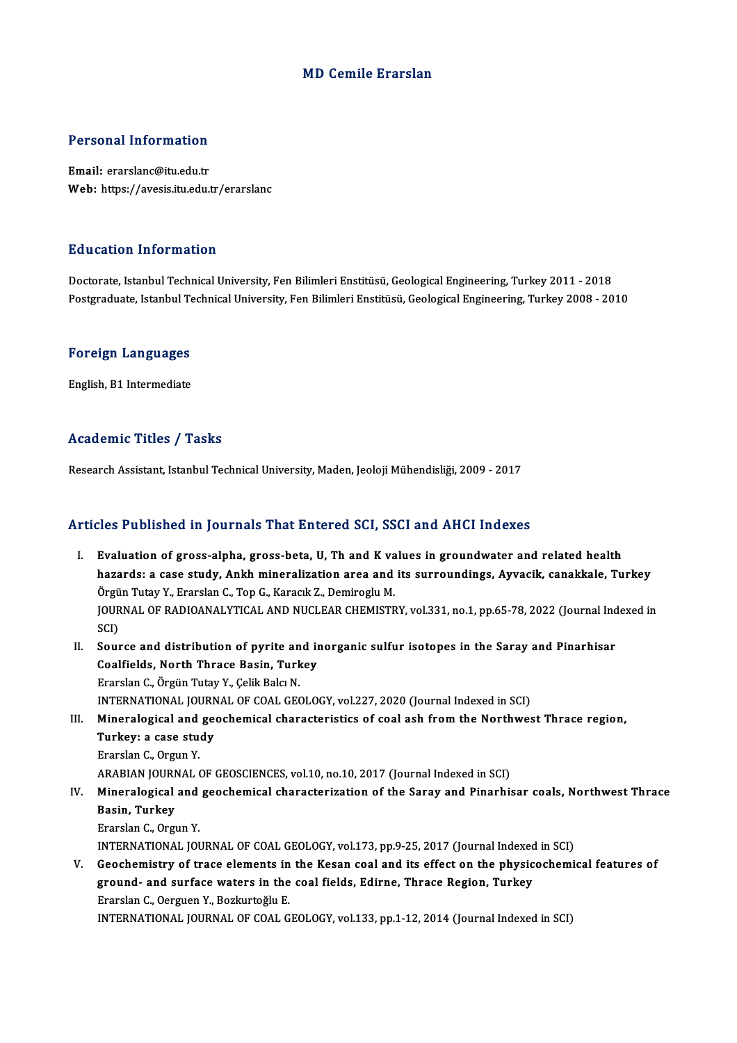### MD Cemile Erarslan

### Personal Information

Email: erarslanc@itu.edu.tr Web: https://avesis.itu.edu.tr/erarslanc

### Education Information

Doctorate, IstanbulTechnicalUniversity,FenBilimleriEnstitüsü,GeologicalEngineering,Turkey2011 -2018 Postgraduate, Istanbul Technical University, Fen Bilimleri Enstitüsü, Geological Engineering, Turkey 2008 - 2010

## rosigraduate, istanbul Te<br>Foreign Languages F<mark>oreign Languages</mark><br>English, B1 Intermediate

# English, B1 Intermediate<br>Academic Titles / Tasks

Research Assistant, Istanbul Technical University, Maden, Jeoloji Mühendisliği, 2009 - 2017

### Articles Published in Journals That Entered SCI, SSCI and AHCI Indexes

- I. Evaluation of gross-alpha, gross-beta, U, Th and K values in groundwater and related health hazards: a case study, Ankh mineralization area and K values in groundwater and related health<br>hazards: a case study, Ankh mineralization area and its surroundings, Ayvacik, canakkale, Turkey<br>Örgün Tutay V, Enarclan C, Ton Evaluation of gross-alpha, gross-beta, U, Th and K va<br>hazards: a case study, Ankh mineralization area and<br>Örgün Tutay Y., Erarslan C., Top G., Karacık Z., Demiroglu M.<br>JOUPNAL OF PADJOANALYTICAL AND NUCLEAR CUEMISTR hazards: a case study, Ankh mineralization area and its surroundings, Ayvacik, canakkale, Turkey<br>Örgün Tutay Y., Erarslan C., Top G., Karacık Z., Demiroglu M.<br>JOURNAL OF RADIOANALYTICAL AND NUCLEAR CHEMISTRY, vol.331, no.1 Örgün Tutay Y., Erarslan C., Top G., Karacık Z., Demiroglu M.<br>JOURNAL OF RADIOANALYTICAL AND NUCLEAR CHEMISTRY, vol.331, no.1, pp.65-78, 2022 (Journal Indexed in<br>SCI) JOURNAL OF RADIOANALYTICAL AND NUCLEAR CHEMISTRY, vol.331, no.1, pp.65-78, 2022 (Journal Ind<br>SCI)<br>II. Source and distribution of pyrite and inorganic sulfur isotopes in the Saray and Pinarhisar<br>Coalfields, North Threes Bes
- SCI)<br>Source and distribution of pyrite and in<br>Coalfields, North Thrace Basin, Turkey<br>Frarslan G. Örgün Tutay Y. Colik Bola N Coalfields, North Thrace Basin, Turkey<br>Erarslan C., Örgün Tutay Y., Çelik Balcı N. INTERNATIONAL JOURNAL OF COAL GEOLOGY, vol.227, 2020 (Journal Indexed in SCI)
- III. Mineralogical and geochemical characteristics of coal ash from the Northwest Thrace region, INTERNATIONAL JOURN<br>Mineralogical and geen<br>Turkey: a case study<br>Enarelan C. Ougun V. Mineralogical and<br>Turkey: a case stue<br>Erarslan C., Orgun Y.<br>APAPIAN IOUPNAL (

Erarslan C., Orgun Y.<br>ARABIAN JOURNAL OF GEOSCIENCES, vol.10, no.10, 2017 (Journal Indexed in SCI)

Erarslan C., Orgun Y.<br>ARABIAN JOURNAL OF GEOSCIENCES, vol.10, no.10, 2017 (Journal Indexed in SCI)<br>IV. Mineralogical and geochemical characterization of the Saray and Pinarhisar coals, Northwest Thrace<br> ARABIAN JOURN<br>Mineralogical<br>Basin, Turkey<br>Erarslan C. Orgy Mineralogical and<br>Basin, Turkey<br>Erarslan C., Orgun Y.<br>INTERNATIONAL JOJ Basin, Turkey<br>Erarslan C., Orgun Y.<br>INTERNATIONAL JOURNAL OF COAL GEOLOGY, vol.173, pp.9-25, 2017 (Journal Indexed in SCI)<br>Coochamistry of trace alaments in the Kesan soal and its effect on the physisoshomi

Erarslan C., Orgun Y.<br>INTERNATIONAL JOURNAL OF COAL GEOLOGY, vol.173, pp.9-25, 2017 (Journal Indexed in SCI)<br>V. Geochemistry of trace elements in the Kesan coal and its effect on the physicochemical features of<br>ground- and INTERNATIONAL JOURNAL OF COAL GEOLOGY, vol.173, pp.9-25, 2017 (Journal Indexed<br>Geochemistry of trace elements in the Kesan coal and its effect on the physic<br>ground- and surface waters in the coal fields, Edirne, Thrace Reg Erarslan C., Oerguen Y., Bozkurtoğlu E. INTERNATIONAL JOURNALOF COALGEOLOGY,vol.133,pp.1-12,2014 (Journal Indexed inSCI)